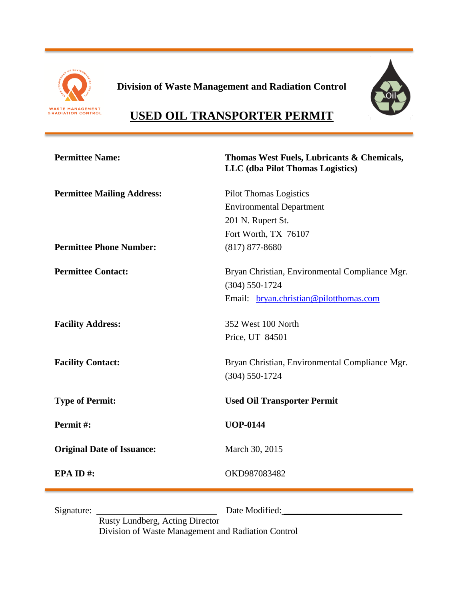

**Division of Waste Management and Radiation Control**



# **USED OIL TRANSPORTER PERMIT**

| <b>Permittee Name:</b>            | Thomas West Fuels, Lubricants & Chemicals,<br>LLC (dba Pilot Thomas Logistics)                               |
|-----------------------------------|--------------------------------------------------------------------------------------------------------------|
| <b>Permittee Mailing Address:</b> | <b>Pilot Thomas Logistics</b>                                                                                |
|                                   | <b>Environmental Department</b>                                                                              |
|                                   | 201 N. Rupert St.                                                                                            |
|                                   | Fort Worth, TX 76107                                                                                         |
| <b>Permittee Phone Number:</b>    | $(817)$ 877-8680                                                                                             |
| <b>Permittee Contact:</b>         | Bryan Christian, Environmental Compliance Mgr.<br>$(304)$ 550-1724<br>Email: bryan.christian@pilotthomas.com |
| <b>Facility Address:</b>          | 352 West 100 North<br>Price, UT 84501                                                                        |
| <b>Facility Contact:</b>          | Bryan Christian, Environmental Compliance Mgr.<br>$(304) 550 - 1724$                                         |
| <b>Type of Permit:</b>            | <b>Used Oil Transporter Permit</b>                                                                           |
| Permit#:                          | <b>UOP-0144</b>                                                                                              |
| <b>Original Date of Issuance:</b> | March 30, 2015                                                                                               |
| EPA ID#:                          | OKD987083482                                                                                                 |
|                                   |                                                                                                              |

Signature: Date Modified: \_\_\_\_\_\_\_\_\_\_\_\_\_\_\_\_\_\_\_\_\_\_\_\_\_\_

Rusty Lundberg, Acting Director Division of Waste Management and Radiation Control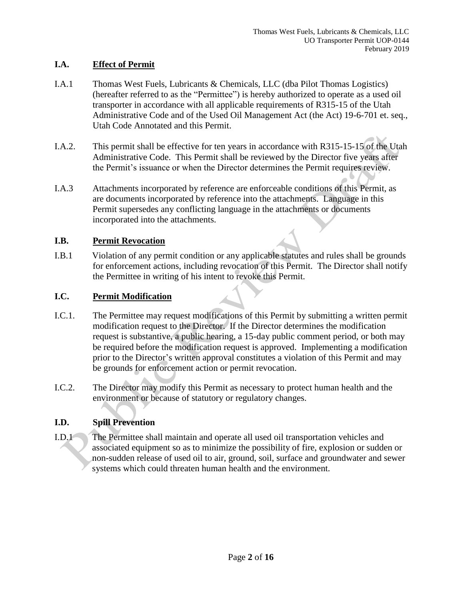## **I.A. Effect of Permit**

- I.A.1 Thomas West Fuels, Lubricants & Chemicals, LLC (dba Pilot Thomas Logistics) (hereafter referred to as the "Permittee") is hereby authorized to operate as a used oil transporter in accordance with all applicable requirements of R315-15 of the Utah Administrative Code and of the Used Oil Management Act (the Act) 19-6-701 et. seq., Utah Code Annotated and this Permit.
- I.A.2. This permit shall be effective for ten years in accordance with R315-15-15 of the Utah Administrative Code. This Permit shall be reviewed by the Director five years after the Permit's issuance or when the Director determines the Permit requires review.
- I.A.3 Attachments incorporated by reference are enforceable conditions of this Permit, as are documents incorporated by reference into the attachments. Language in this Permit supersedes any conflicting language in the attachments or documents incorporated into the attachments.

#### **I.B. Permit Revocation**

I.B.1 Violation of any permit condition or any applicable statutes and rules shall be grounds for enforcement actions, including revocation of this Permit. The Director shall notify the Permittee in writing of his intent to revoke this Permit.

### **I.C. Permit Modification**

- I.C.1. The Permittee may request modifications of this Permit by submitting a written permit modification request to the Director. If the Director determines the modification request is substantive, a public hearing, a 15-day public comment period, or both may be required before the modification request is approved. Implementing a modification prior to the Director's written approval constitutes a violation of this Permit and may be grounds for enforcement action or permit revocation.
- I.C.2. The Director may modify this Permit as necessary to protect human health and the environment or because of statutory or regulatory changes.

# **I.D. Spill Prevention**

I.D.1 The Permittee shall maintain and operate all used oil transportation vehicles and associated equipment so as to minimize the possibility of fire, explosion or sudden or non-sudden release of used oil to air, ground, soil, surface and groundwater and sewer systems which could threaten human health and the environment.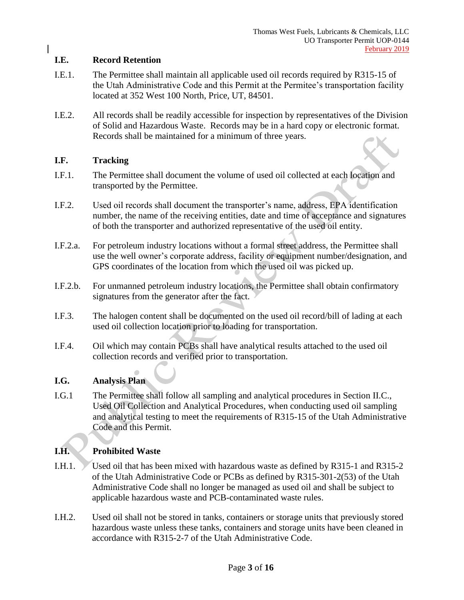#### **I.E. Record Retention**

- I.E.1. The Permittee shall maintain all applicable used oil records required by R315-15 of the Utah Administrative Code and this Permit at the Permitee's transportation facility located at 352 West 100 North, Price, UT, 84501.
- I.E.2. All records shall be readily accessible for inspection by representatives of the Division of Solid and Hazardous Waste. Records may be in a hard copy or electronic format. Records shall be maintained for a minimum of three years.

#### **I.F. Tracking**

- I.F.1. The Permittee shall document the volume of used oil collected at each location and transported by the Permittee.
- I.F.2. Used oil records shall document the transporter's name, address, EPA identification number, the name of the receiving entities, date and time of acceptance and signatures of both the transporter and authorized representative of the used oil entity.
- I.F.2.a. For petroleum industry locations without a formal street address, the Permittee shall use the well owner's corporate address, facility or equipment number/designation, and GPS coordinates of the location from which the used oil was picked up.
- I.F.2.b. For unmanned petroleum industry locations, the Permittee shall obtain confirmatory signatures from the generator after the fact.
- I.F.3. The halogen content shall be documented on the used oil record/bill of lading at each used oil collection location prior to loading for transportation.
- I.F.4. Oil which may contain PCBs shall have analytical results attached to the used oil collection records and verified prior to transportation.

#### **I.G. Analysis Plan**

I.G.1 The Permittee shall follow all sampling and analytical procedures in Section II.C., Used Oil Collection and Analytical Procedures, when conducting used oil sampling and analytical testing to meet the requirements of R315-15 of the Utah Administrative Code and this Permit.

# **I.H. Prohibited Waste**

- I.H.1. Used oil that has been mixed with hazardous waste as defined by R315-1 and R315-2 of the Utah Administrative Code or PCBs as defined by R315-301-2(53) of the Utah Administrative Code shall no longer be managed as used oil and shall be subject to applicable hazardous waste and PCB-contaminated waste rules.
- I.H.2. Used oil shall not be stored in tanks, containers or storage units that previously stored hazardous waste unless these tanks, containers and storage units have been cleaned in accordance with R315-2-7 of the Utah Administrative Code.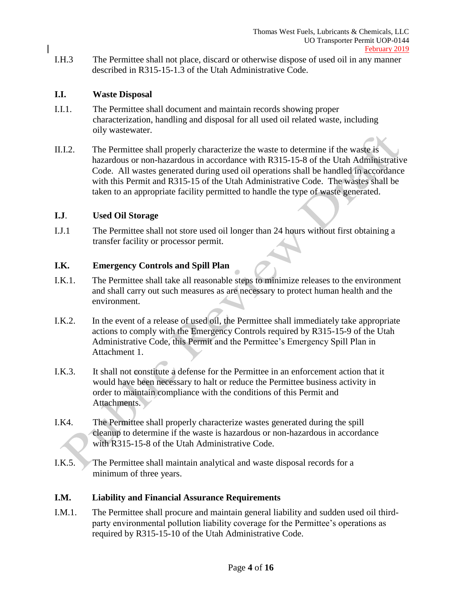I.H.3 The Permittee shall not place, discard or otherwise dispose of used oil in any manner described in R315-15-1.3 of the Utah Administrative Code.

#### **I.I. Waste Disposal**

- I.I.1. The Permittee shall document and maintain records showing proper characterization, handling and disposal for all used oil related waste, including oily wastewater.
- II.I.2. The Permittee shall properly characterize the waste to determine if the waste is hazardous or non-hazardous in accordance with R315-15-8 of the Utah Administrative Code. All wastes generated during used oil operations shall be handled in accordance with this Permit and R315-15 of the Utah Administrative Code. The wastes shall be taken to an appropriate facility permitted to handle the type of waste generated.

#### **I.J**. **Used Oil Storage**

I.J.1 The Permittee shall not store used oil longer than 24 hours without first obtaining a transfer facility or processor permit.

#### **I.K. Emergency Controls and Spill Plan**

- I.K.1. The Permittee shall take all reasonable steps to minimize releases to the environment and shall carry out such measures as are necessary to protect human health and the environment.
- I.K.2. In the event of a release of used oil, the Permittee shall immediately take appropriate actions to comply with the Emergency Controls required by R315-15-9 of the Utah Administrative Code, this Permit and the Permittee's Emergency Spill Plan in Attachment 1.
- I.K.3. It shall not constitute a defense for the Permittee in an enforcement action that it would have been necessary to halt or reduce the Permittee business activity in order to maintain compliance with the conditions of this Permit and Attachments.
- I.K4. The Permittee shall properly characterize wastes generated during the spill cleanup to determine if the waste is hazardous or non-hazardous in accordance with R315-15-8 of the Utah Administrative Code.
- I.K.5. The Permittee shall maintain analytical and waste disposal records for a minimum of three years.

#### **I.M. Liability and Financial Assurance Requirements**

I.M.1. The Permittee shall procure and maintain general liability and sudden used oil thirdparty environmental pollution liability coverage for the Permittee's operations as required by R315-15-10 of the Utah Administrative Code.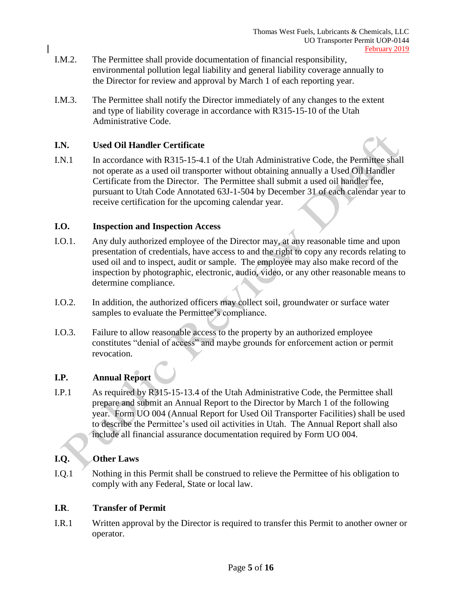- I.M.2. The Permittee shall provide documentation of financial responsibility, environmental pollution legal liability and general liability coverage annually to the Director for review and approval by March 1 of each reporting year.
- I.M.3. The Permittee shall notify the Director immediately of any changes to the extent and type of liability coverage in accordance with R315-15-10 of the Utah Administrative Code.

#### **I.N. Used Oil Handler Certificate**



I.N.1 In accordance with R315-15-4.1 of the Utah Administrative Code, the Permittee shall not operate as a used oil transporter without obtaining annually a Used Oil Handler Certificate from the Director. The Permittee shall submit a used oil handler fee, pursuant to Utah Code Annotated 63J-1-504 by December 31 of each calendar year to receive certification for the upcoming calendar year.

#### **I.O. Inspection and Inspection Access**

- I.O.1. Any duly authorized employee of the Director may, at any reasonable time and upon presentation of credentials, have access to and the right to copy any records relating to used oil and to inspect, audit or sample. The employee may also make record of the inspection by photographic, electronic, audio, video, or any other reasonable means to determine compliance.
- I.O.2. In addition, the authorized officers may collect soil, groundwater or surface water samples to evaluate the Permittee's compliance.
- I.O.3. Failure to allow reasonable access to the property by an authorized employee constitutes "denial of access" and maybe grounds for enforcement action or permit revocation.

# **I.P. Annual Report**

I.P.1 As required by R315-15-13.4 of the Utah Administrative Code, the Permittee shall prepare and submit an Annual Report to the Director by March 1 of the following year. Form UO 004 (Annual Report for Used Oil Transporter Facilities) shall be used to describe the Permittee's used oil activities in Utah. The Annual Report shall also include all financial assurance documentation required by Form UO 004.

#### **I.Q. Other Laws**

I.Q.1 Nothing in this Permit shall be construed to relieve the Permittee of his obligation to comply with any Federal, State or local law.

#### **I.R**. **Transfer of Permit**

I.R.1 Written approval by the Director is required to transfer this Permit to another owner or operator.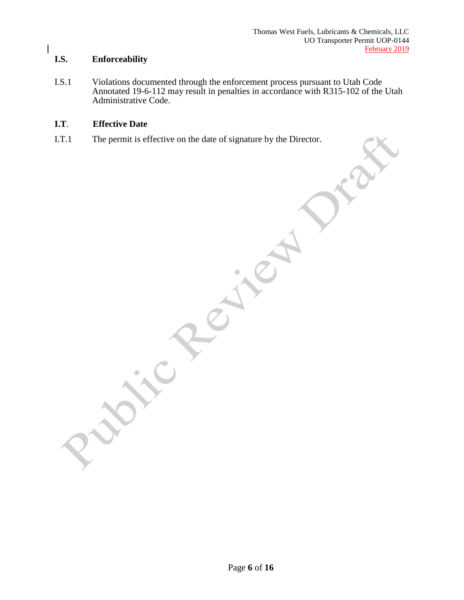#### **I.S. Enforceability**

I.S.1 Violations documented through the enforcement process pursuant to Utah Code Annotated 19-6-112 may result in penalties in accordance with R315-102 of the Utah Administrative Code.

## **I.T**. **Effective Date**

I.T.1 The permit is effective on the date of signature by the Director.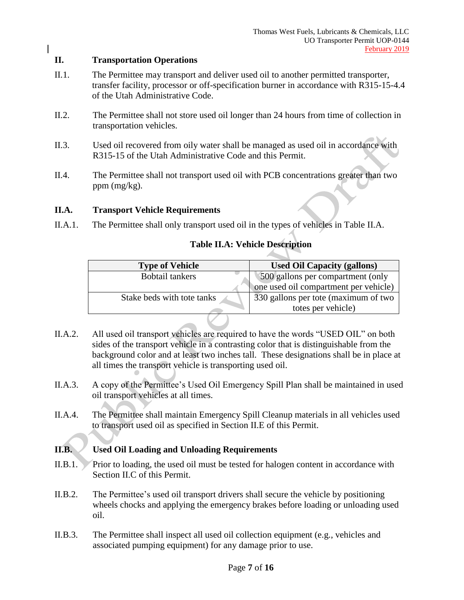#### **II. Transportation Operations**

- II.1. The Permittee may transport and deliver used oil to another permitted transporter, transfer facility, processor or off-specification burner in accordance with R315-15-4.4 of the Utah Administrative Code.
- II.2. The Permittee shall not store used oil longer than 24 hours from time of collection in transportation vehicles.
- II.3. Used oil recovered from oily water shall be managed as used oil in accordance with R315-15 of the Utah Administrative Code and this Permit.
- II.4. The Permittee shall not transport used oil with PCB concentrations greater than two ppm (mg/kg).

#### **II.A. Transport Vehicle Requirements**

II.A.1. The Permittee shall only transport used oil in the types of vehicles in Table II.A.

#### **Table II.A: Vehicle Description**

| <b>Type of Vehicle</b>     | <b>Used Oil Capacity (gallons)</b>    |
|----------------------------|---------------------------------------|
| <b>Bobtail tankers</b>     | 500 gallons per compartment (only     |
|                            | one used oil compartment per vehicle) |
| Stake beds with tote tanks | 330 gallons per tote (maximum of two  |
|                            | totes per vehicle)                    |

- II.A.2. All used oil transport vehicles are required to have the words "USED OIL" on both sides of the transport vehicle in a contrasting color that is distinguishable from the background color and at least two inches tall. These designations shall be in place at all times the transport vehicle is transporting used oil.
- II.A.3. A copy of the Permittee's Used Oil Emergency Spill Plan shall be maintained in used oil transport vehicles at all times.
- II.A.4. The Permittee shall maintain Emergency Spill Cleanup materials in all vehicles used to transport used oil as specified in Section II.E of this Permit.

#### **II.B. Used Oil Loading and Unloading Requirements**

- II.B.1. Prior to loading, the used oil must be tested for halogen content in accordance with Section II.C of this Permit.
- II.B.2. The Permittee's used oil transport drivers shall secure the vehicle by positioning wheels chocks and applying the emergency brakes before loading or unloading used oil.
- II.B.3. The Permittee shall inspect all used oil collection equipment (e.g., vehicles and associated pumping equipment) for any damage prior to use.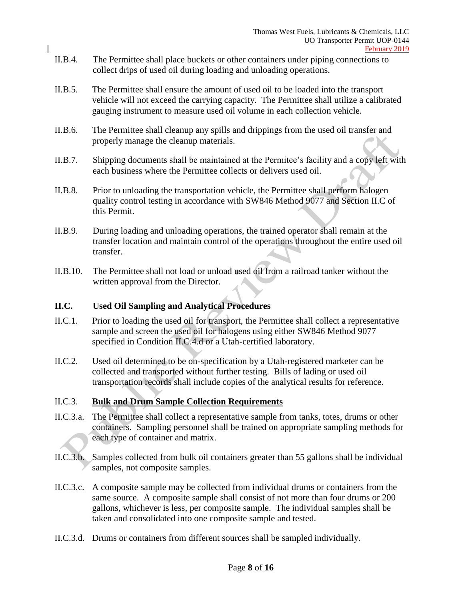- II.B.4. The Permittee shall place buckets or other containers under piping connections to collect drips of used oil during loading and unloading operations.
- II.B.5. The Permittee shall ensure the amount of used oil to be loaded into the transport vehicle will not exceed the carrying capacity. The Permittee shall utilize a calibrated gauging instrument to measure used oil volume in each collection vehicle.
- II.B.6. The Permittee shall cleanup any spills and drippings from the used oil transfer and properly manage the cleanup materials.
- II.B.7. Shipping documents shall be maintained at the Permitee's facility and a copy left with each business where the Permittee collects or delivers used oil.
- II.B.8. Prior to unloading the transportation vehicle, the Permittee shall perform halogen quality control testing in accordance with SW846 Method 9077 and Section II.C of this Permit.
- II.B.9. During loading and unloading operations, the trained operator shall remain at the transfer location and maintain control of the operations throughout the entire used oil transfer.
- II.B.10. The Permittee shall not load or unload used oil from a railroad tanker without the written approval from the Director.

#### **II.C. Used Oil Sampling and Analytical Procedures**

- II.C.1. Prior to loading the used oil for transport, the Permittee shall collect a representative sample and screen the used oil for halogens using either SW846 Method 9077 specified in Condition II.C.4.d or a Utah-certified laboratory.
- II.C.2. Used oil determined to be on-specification by a Utah-registered marketer can be collected and transported without further testing. Bills of lading or used oil transportation records shall include copies of the analytical results for reference.

#### II.C.3. **Bulk and Drum Sample Collection Requirements**

- II.C.3.a. The Permittee shall collect a representative sample from tanks, totes, drums or other containers. Sampling personnel shall be trained on appropriate sampling methods for each type of container and matrix.
- II.C.3.b. Samples collected from bulk oil containers greater than 55 gallons shall be individual samples, not composite samples.
- II.C.3.c. A composite sample may be collected from individual drums or containers from the same source. A composite sample shall consist of not more than four drums or 200 gallons, whichever is less, per composite sample. The individual samples shall be taken and consolidated into one composite sample and tested.
- II.C.3.d. Drums or containers from different sources shall be sampled individually.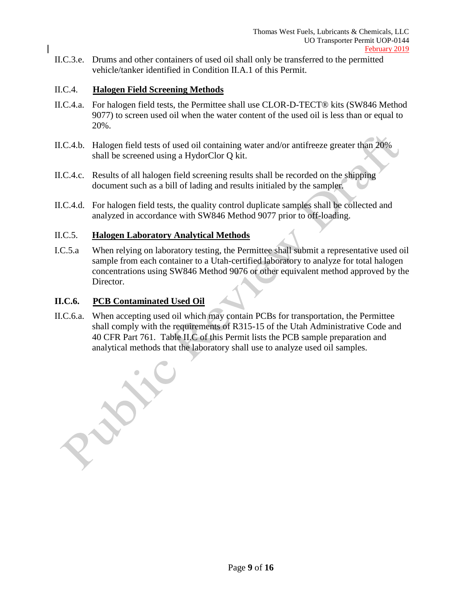II.C.3.e. Drums and other containers of used oil shall only be transferred to the permitted vehicle/tanker identified in Condition II.A.1 of this Permit.

### II.C.4. **Halogen Field Screening Methods**

- II.C.4.a. For halogen field tests, the Permittee shall use CLOR-D-TECT® kits (SW846 Method 9077) to screen used oil when the water content of the used oil is less than or equal to 20%.
- II.C.4.b. Halogen field tests of used oil containing water and/or antifreeze greater than 20% shall be screened using a HydorClor Q kit.
- II.C.4.c. Results of all halogen field screening results shall be recorded on the shipping document such as a bill of lading and results initialed by the sampler.
- II.C.4.d. For halogen field tests, the quality control duplicate samples shall be collected and analyzed in accordance with SW846 Method 9077 prior to off-loading.

#### II.C.5. **Halogen Laboratory Analytical Methods**

I.C.5.a When relying on laboratory testing, the Permittee shall submit a representative used oil sample from each container to a Utah-certified laboratory to analyze for total halogen concentrations using SW846 Method 9076 or other equivalent method approved by the Director.

#### **II.C.6. PCB Contaminated Used Oil**

II.C.6.a. When accepting used oil which may contain PCBs for transportation, the Permittee shall comply with the requirements of R315-15 of the Utah Administrative Code and 40 CFR Part 761. Table II.C of this Permit lists the PCB sample preparation and analytical methods that the laboratory shall use to analyze used oil samples.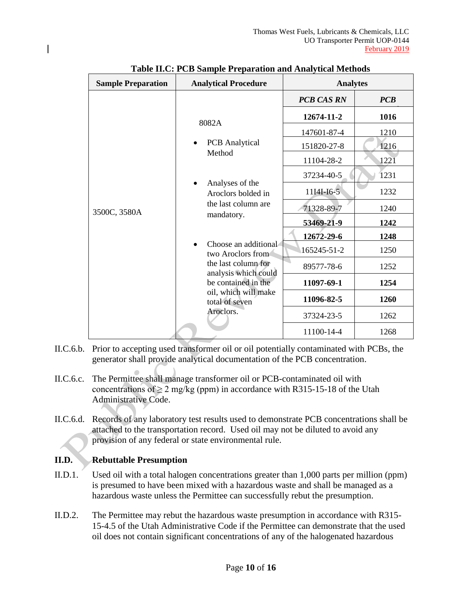| <b>Sample Preparation</b> | <b>Analytical Procedure</b>                 | талк н.е. го башрк гтераганон ана жиајунсаг менюаз<br><b>Analytes</b> |      |  |
|---------------------------|---------------------------------------------|-----------------------------------------------------------------------|------|--|
| 3500C, 3580A              |                                             | <b>PCB CAS RN</b>                                                     | PCB  |  |
|                           | 8082A                                       | 12674-11-2                                                            | 1016 |  |
|                           |                                             | 147601-87-4                                                           | 1210 |  |
|                           | <b>PCB</b> Analytical                       | 151820-27-8                                                           | 1216 |  |
|                           | Method                                      | 11104-28-2                                                            | 1221 |  |
|                           |                                             | 37234-40-5                                                            | 1231 |  |
|                           | Analyses of the<br>Aroclors bolded in       | 11I4I-I6-5                                                            | 1232 |  |
|                           | the last column are                         | 71328-89-7                                                            | 1240 |  |
|                           | mandatory.                                  | 53469-21-9                                                            | 1242 |  |
|                           |                                             | 12672-29-6                                                            | 1248 |  |
|                           | Choose an additional<br>two Aroclors from   | 165245-51-2                                                           | 1250 |  |
|                           | the last column for<br>analysis which could | 89577-78-6                                                            | 1252 |  |
|                           | be contained in the                         | 11097-69-1                                                            | 1254 |  |
|                           | oil, which will make<br>total of seven      | 11096-82-5                                                            | 1260 |  |
|                           | Aroclors.                                   | 37324-23-5                                                            | 1262 |  |
|                           |                                             | 11100-14-4                                                            | 1268 |  |

|  |  | <b>Table II.C: PCB Sample Preparation and Analytical Methods</b> |  |
|--|--|------------------------------------------------------------------|--|

- II.C.6.b. Prior to accepting used transformer oil or oil potentially contaminated with PCBs, the generator shall provide analytical documentation of the PCB concentration.
- II.C.6.c. The Permittee shall manage transformer oil or PCB-contaminated oil with concentrations of  $\geq 2$  mg/kg (ppm) in accordance with R315-15-18 of the Utah Administrative Code.
- II.C.6.d. Records of any laboratory test results used to demonstrate PCB concentrations shall be attached to the transportation record. Used oil may not be diluted to avoid any provision of any federal or state environmental rule.

# **II.D. Rebuttable Presumption**

- II.D.1. Used oil with a total halogen concentrations greater than 1,000 parts per million (ppm) is presumed to have been mixed with a hazardous waste and shall be managed as a hazardous waste unless the Permittee can successfully rebut the presumption.
- II.D.2. The Permittee may rebut the hazardous waste presumption in accordance with R315- 15-4.5 of the Utah Administrative Code if the Permittee can demonstrate that the used oil does not contain significant concentrations of any of the halogenated hazardous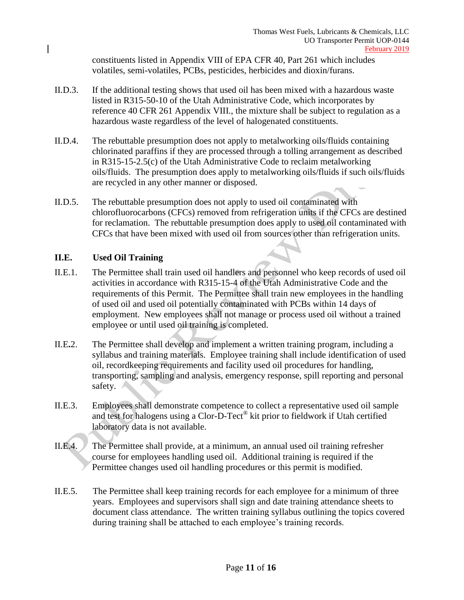constituents listed in Appendix VIII of EPA CFR 40, Part 261 which includes volatiles, semi-volatiles, PCBs, pesticides, herbicides and dioxin/furans.

- II.D.3. If the additional testing shows that used oil has been mixed with a hazardous waste listed in R315-50-10 of the Utah Administrative Code, which incorporates by reference 40 CFR 261 Appendix VIII., the mixture shall be subject to regulation as a hazardous waste regardless of the level of halogenated constituents.
- II.D.4. The rebuttable presumption does not apply to metalworking oils/fluids containing chlorinated paraffins if they are processed through a tolling arrangement as described in R315-15-2.5(c) of the Utah Administrative Code to reclaim metalworking oils/fluids. The presumption does apply to metalworking oils/fluids if such oils/fluids are recycled in any other manner or disposed.
- II.D.5. The rebuttable presumption does not apply to used oil contaminated with chlorofluorocarbons (CFCs) removed from refrigeration units if the CFCs are destined for reclamation. The rebuttable presumption does apply to used oil contaminated with CFCs that have been mixed with used oil from sources other than refrigeration units.

#### **II.E. Used Oil Training**

- II.E.1. The Permittee shall train used oil handlers and personnel who keep records of used oil activities in accordance with R315-15-4 of the Utah Administrative Code and the requirements of this Permit. The Permittee shall train new employees in the handling of used oil and used oil potentially contaminated with PCBs within 14 days of employment. New employees shall not manage or process used oil without a trained employee or until used oil training is completed.
- II.E**.**2. The Permittee shall develop and implement a written training program, including a syllabus and training materials. Employee training shall include identification of used oil, recordkeeping requirements and facility used oil procedures for handling, transporting, sampling and analysis, emergency response, spill reporting and personal safety.
- II.E.3. Employees shall demonstrate competence to collect a representative used oil sample and test for halogens using a Clor-D-Tect® kit prior to fieldwork if Utah certified laboratory data is not available.
- II.E.4. The Permittee shall provide, at a minimum, an annual used oil training refresher course for employees handling used oil. Additional training is required if the Permittee changes used oil handling procedures or this permit is modified.
- II.E.5. The Permittee shall keep training records for each employee for a minimum of three years. Employees and supervisors shall sign and date training attendance sheets to document class attendance. The written training syllabus outlining the topics covered during training shall be attached to each employee's training records.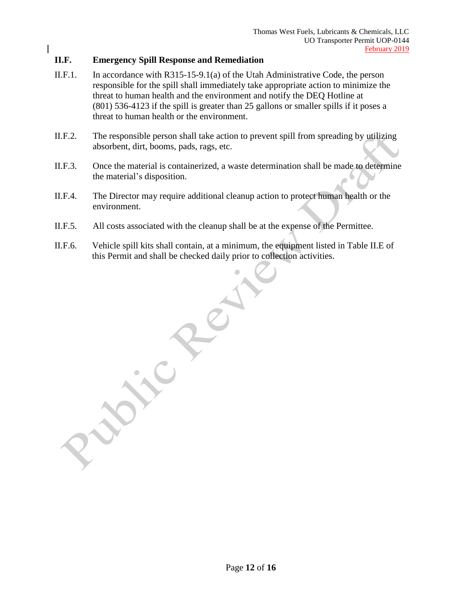#### **II.F. Emergency Spill Response and Remediation**

- II.F.1. In accordance with R315-15-9.1(a) of the Utah Administrative Code, the person responsible for the spill shall immediately take appropriate action to minimize the threat to human health and the environment and notify the DEQ Hotline at (801) 536-4123 if the spill is greater than 25 gallons or smaller spills if it poses a threat to human health or the environment.
- II.F.2. The responsible person shall take action to prevent spill from spreading by utilizing absorbent, dirt, booms, pads, rags, etc.
- II.F.3. Once the material is containerized, a waste determination shall be made to determine the material's disposition.
- II.F.4. The Director may require additional cleanup action to protect human health or the environment.
- II.F.5. All costs associated with the cleanup shall be at the expense of the Permittee.
- II.F.6. Vehicle spill kits shall contain, at a minimum, the equipment listed in Table II.E of this Permit and shall be checked daily prior to collection activities.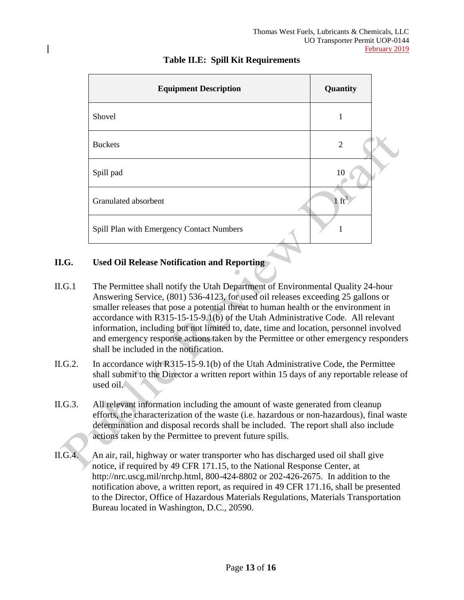| <b>Equipment Description</b>              | Quantity         |  |
|-------------------------------------------|------------------|--|
| Shovel                                    | 1                |  |
| <b>Buckets</b>                            | $\overline{2}$   |  |
| Spill pad                                 | 10               |  |
| Granulated absorbent                      | $1 \text{ ft}^3$ |  |
| Spill Plan with Emergency Contact Numbers |                  |  |

## **Table II.E: Spill Kit Requirements**

### **II.G. Used Oil Release Notification and Reporting**

- II.G.1 The Permittee shall notify the Utah Department of Environmental Quality 24-hour Answering Service, (801) 536-4123, for used oil releases exceeding 25 gallons or smaller releases that pose a potential threat to human health or the environment in accordance with R315-15-15-9.1(b) of the Utah Administrative Code. All relevant information, including but not limited to, date, time and location, personnel involved and emergency response actions taken by the Permittee or other emergency responders shall be included in the notification.
- II.G.2. In accordance with R315-15-9.1(b) of the Utah Administrative Code, the Permittee shall submit to the Director a written report within 15 days of any reportable release of used oil.
- II.G.3. All relevant information including the amount of waste generated from cleanup efforts, the characterization of the waste (i.e. hazardous or non-hazardous), final waste determination and disposal records shall be included. The report shall also include actions taken by the Permittee to prevent future spills.
- II.G.4. An air, rail, highway or water transporter who has discharged used oil shall give notice, if required by 49 CFR 171.15, to the National Response Center, at http://nrc.uscg.mil/nrchp.html, 800-424-8802 or 202-426-2675. In addition to the notification above, a written report, as required in 49 CFR 171.16, shall be presented to the Director, Office of Hazardous Materials Regulations, Materials Transportation Bureau located in Washington, D.C., 20590.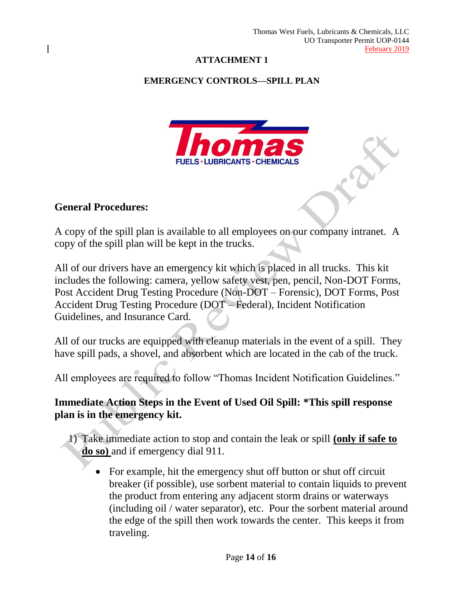# **ATTACHMENT 1**

# **EMERGENCY CONTROLS—SPILL PLAN**



# **General Procedures:**

A copy of the spill plan is available to all employees on our company intranet. A copy of the spill plan will be kept in the trucks.

All of our drivers have an emergency kit which is placed in all trucks. This kit includes the following: camera, yellow safety vest, pen, pencil, Non-DOT Forms, Post Accident Drug Testing Procedure (Non-DOT – Forensic), DOT Forms, Post Accident Drug Testing Procedure (DOT – Federal), Incident Notification Guidelines, and Insurance Card.

All of our trucks are equipped with cleanup materials in the event of a spill. They have spill pads, a shovel, and absorbent which are located in the cab of the truck.

All employees are required to follow "Thomas Incident Notification Guidelines."

# **Immediate Action Steps in the Event of Used Oil Spill: \*This spill response plan is in the emergency kit.**

1) Take immediate action to stop and contain the leak or spill **(only if safe to do so)** and if emergency dial 911.

• For example, hit the emergency shut off button or shut off circuit breaker (if possible), use sorbent material to contain liquids to prevent the product from entering any adjacent storm drains or waterways (including oil / water separator), etc. Pour the sorbent material around the edge of the spill then work towards the center. This keeps it from traveling.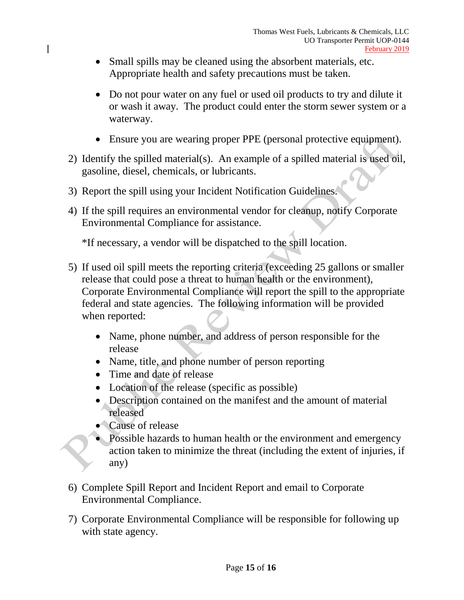- Small spills may be cleaned using the absorbent materials, etc. Appropriate health and safety precautions must be taken.
- Do not pour water on any fuel or used oil products to try and dilute it or wash it away. The product could enter the storm sewer system or a waterway.
- Ensure you are wearing proper PPE (personal protective equipment).
- 2) Identify the spilled material(s). An example of a spilled material is used oil, gasoline, diesel, chemicals, or lubricants.
- 3) Report the spill using your Incident Notification Guidelines.
- 4) If the spill requires an environmental vendor for cleanup, notify Corporate Environmental Compliance for assistance.

\*If necessary, a vendor will be dispatched to the spill location.

- 5) If used oil spill meets the reporting criteria (exceeding 25 gallons or smaller release that could pose a threat to human health or the environment), Corporate Environmental Compliance will report the spill to the appropriate federal and state agencies. The following information will be provided when reported:
	- Name, phone number, and address of person responsible for the release
	- Name, title, and phone number of person reporting
	- Time and date of release
	- Location of the release (specific as possible)
	- Description contained on the manifest and the amount of material released
	- Cause of release

 $\overline{a}$ 

- Possible hazards to human health or the environment and emergency action taken to minimize the threat (including the extent of injuries, if any)
- 6) Complete Spill Report and Incident Report and email to Corporate Environmental Compliance.
- 7) Corporate Environmental Compliance will be responsible for following up with state agency.